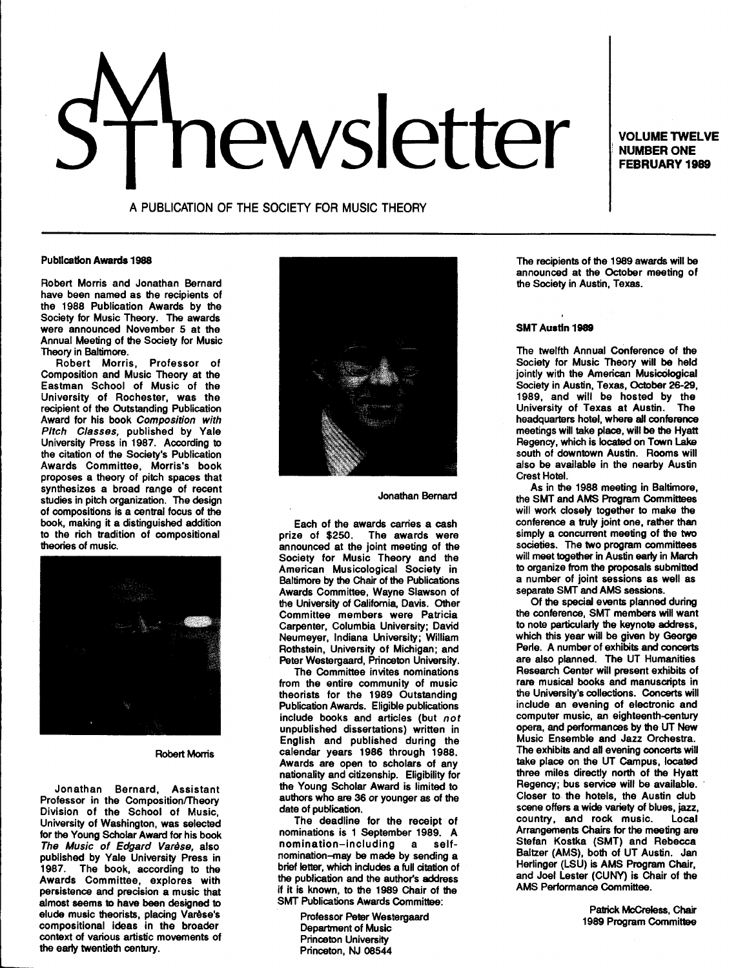# news external volume TWELVE

**NUMBER ONE FEBRUARY 1989** 

A PUBLICATION OF THE SOCIETY FOR MUSIC THEORY

#### Publication Awards 1988

Robert Morris and Jonathan Bernard have been named as the recipients of the 1988 Publication Awards by the Society for Music Theory. The awards were announced November 5 at the Annual Meeting of the Society for Music Theory in Baltimore.

Robert Morris, Professor of Composition and Music Theory at the Eastman School of Music of the University of Rochester, was the recipient of the Outstanding Publication Award for his book Composition with Pitch Classes, published by Yale University Press in 1987. According to the citation of the Society's Publication Awards Committee, Morris's book proposes a theory of pitch spaces that synthesizes a broad range of recent studies in pitch organization. The design of compositions is a central focus of the book, making it a distinguished addition to the rich tradition of compositional theories of music.



# Robert Morris

Jonathan Bernard, Assistant Professor in the Composition/Theory Division of the School of Music, University of Washington, was selected for the Young Scholar Award for his book The Music of Edgard Varèse, also published by Yale University Press in 1987. The book, according to the Awards Committee, explores with persistence and precision a music that almost seems to have been designed to elude music theorists, placing Varèse's compositional ideas in the broader context of various artistic movements of the early twentieth century.



Jonathan Bernard

Each of the awards carries a cash<br>prize of \$250. The awards were The awards were announced at the joint meeting of the Society for Music Theory and the American Musicological Society in Baltimore by the Chair of the Publications Awards Committee, Wayne Slawson of the University of California, Davis. Other Committee members were Patricia Carpenter, Columbia University; David Neumeyer, Indiana University; William Rothstein, University of Michigan; and Peter Westergaard, Princeton University.

The Committee invites nominations from the entire community of music theorists for the 1989 Outstanding Publication Awards. Eligible publications include books and articles (but not unpublished dissertations) written in English and published during the calendar years 1986 through 1988. Awards are open to scholars of any nationality and citizenship. Eligibility for the Young Scholar Award is limited to authors who are 36 or younger as of the date of publication.

The deadline for the receipt of nominations is 1 September 1989. A nomination-including a selfnomination-may be made by sending a brief letter, which includes a full citation of the publication and the author's address if it is known, to the 1989 Chair of the SMT Publications Awards Committee:

> Professor Peter Westergaard Department of Music Princeton University Princeton, NJ 08544

The recipients of the 1989 awards will be announced at the October meeting of the Society in Austin, Texas.

#### SMT Austin 1989

The twelfth Annual COnference of the Society for Music Theory will be held jointly with the American Musicological Society in Austin, Texas, October 26-29, 1989, and will be hosted by the<br>University of Texas at Austin. The University of Texas at Austin. headquarters hotel, where all conference meetings will take place, will be the Hyatt Regency, which is located on Town Lake south of downtown Austin. Rooms will also be available in the nearby Austin Crest Hotel.

As in the 1988 meeting in Baltimore, the SMT and AMS Program Committees will work closely together to make the conference a truly joint one, rather than simply a concurrent meeting of the two societies. The two program committees will meet together in Austin early in March to organize from the proposals submitted a number of joint sessions as well as separate SMT and AMS sessions.

Of the special events planned during the conference, SMT members will want to note particularly the keynote address, which this year will be given by George Perle. A number of exhibits and concerts are also planned. The UT Humanities Research Center will present exhibits of rare musical books and manuscripts in the University's collections. Concerts will include an evening of electronic and computer music, an eighteenth-century opera, and performances by the UT New Music Ensemble and Jazz Orchestra. The exhibits and all evening concerts will take place on the UT Campus, located three miles directly north of the Hyatt Regency; bus service will be available. Closer to the hotels, the Austin club scene offers a wide variety of blues, jazz, country, and rock music. Local Arrangements Chairs for the meeting are Stefan Kostka (SMT) and Rebecca Baltzer (AMS), both of UT Austin. Jan Herlinger (LSU) is AMS Program Chair, and Joel Lester (CUNY) is Chair of the AMS Performance Committee.

> Patrick McCreless, Chair 1989 Program Committee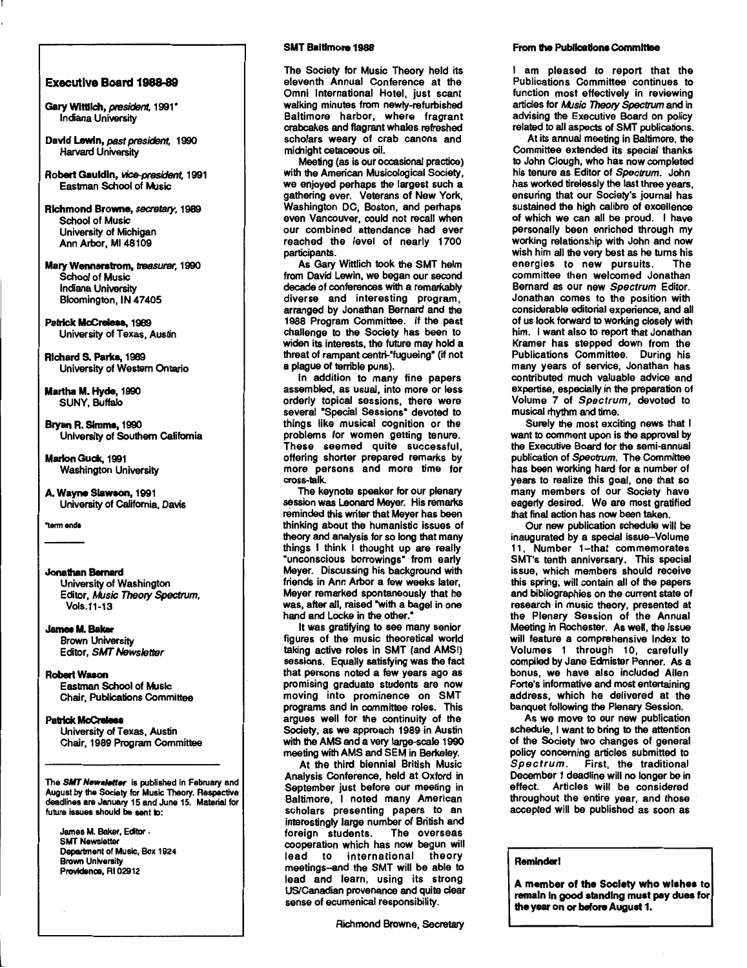## Executive Board 1988-89

- Gary Wittlich, president, 1991\* Indiana University
- David Lewin, past president, 1990 Harvard University
- Robert Gauldin, *vice-president,* 1991 Eastman School of Music
- Richmond Browne, secretary, 1989 School of Music University of Michigan Ann Arbor, Ml48109
- Mary Wennerstrom, treasurer, 1990 School of Music Indiana University Bloomington, IN 47405

## Patrick McCreless, 1989 University of Texas, Austin

RichardS. Parka, 1989 University of Western Ontario

Martha M. Hyde, 1990 SUNY, Buffalo

- Bryan R. Simms, 1990 University of Southern California
- Marlon Guck, 1991 Washington University

```
A. Wayne Slawson, 1991 
University of California, Davis
```
"term ends

# Jonathan Bernard

University of Washington Editor, Music Theory Spectrum, Vols.11-13

# James M. Baker

Brown University Editor, SMT Newsletter

#### **Robert Wason** Eastman School of Music

Chair, Publications Committee

# Patrick McCreless

University of Texas, Austin Chair, 1989 Program Committee

The SMT Newsletter is published in February and August by the Society for Music Theory. Respective deadlines are January 15 and June 15. Material for future issues should be sent to:

James M. Baker, Editor • SMT Newsletter Department of Music, Box 1924 Brown University<br>Providence, RI 02912

# SMT Baltimore 1988

The Society for Music Theory held its eleventh Annual Conference at the Omni International Hotel, just scant walking minutes from newly-refurbished Baltimore harbor, where fragrant crabcakes and flagrant whales refreshed scholars weary of crab canons and midnight cetaceous oil.

Meeting (as is our occasional practice) with the American Musicological Society. we enjoyed perhaps the largest such a gathering ever. Veterans of New York, Washington DC, Boston, and perhaps even Vancouver, could not recall when our combined attendance had ever reached the level of nearly 1700 participants.

As Gary Wittlich took the SMT helm from David Lewin, we began our second decade of conferences with a remarkably diverse and interesting program, arranged by Jonathan Bernard and the 1988 Program Committee. If the past challenge to the Society has been to widen its interests, the future may hold a threat of rampant centri-"fugueing" (if not a plague of terrible puns).

In addition to many fine papers assembled, as usual, into more or less orderly topical sessions, there were several "Special Sessions" devoted to things like musical cognition or the problems for women getting tenure. These seemed quite successful, offering shorter prepared remarks by more persons and more time for cross-lalk.

The keynote speaker for our plenary session was Leonard Meyer. His remarks reminded this writer that Meyer has been thinking about the humanistic issues of theory and analysis for so long that many things I think I thought up are really "unconscious borrowings" from early Meyer. Discussing his background with friends in Ann Arbor a few weeks later, Meyer remarked spontaneously that he was, after all, raised "with a bagel in one hand and Locke in the other."

It was gratifying to see many senior figures of the music theoretical world taking active roles in SMT (and AMS!) sessions. Equally satisfying was the fact that persons noted a few years ago as promising graduate students are now moving into prominence on SMT programs and in committee roles. This argues well for the continuity of the Society, as we approach 1989 in Austin with the AMS and a very large-scale 1990 meeting with AMS and SEM in Berkeley.

At the third biennial British Music Analysis Conference, held at Oxford in September just before our meeting in Baltimore, I noted many American scholars presenting papers to an interestingly large number of British and foreign students. The overseas cooperation which has now begun will lead to international theory meetings-and the SMT will be able to lead and learn, using its strong US/Canadian provenance and quite clear sense of ecumenical responsibility.

Richmond Browne, Secretary

# From the Publications Committee

I am pleased to report that the Publications Committee continues to function most effectively in reviewing articles for Music Theory Spectrum and in advising the Executive Board on policy related to all aspects of SMT publications.

At its annual meeting in Baltimore, the Committee extended its special thanks to John Clough, who has now completed his tenure as Editor of Spectrum. John has worked tirelessly the last three years, ensuring that our Society's journal has sustained the high calibre of excellence of which we can all be proud. I have personally been enriched through my working relationship with John and now wish him all the very best as he turns his energies to new pursuits. The committee then welcomed Jonathan Bernard as our new Spectrum Editor. Jonathan comes to the position with considerable editorial experience, and all of us look forward to working closely with him. I want also to report that Jonathan Kramer has stepped down from the Publications Committee. During his many years of service, Jonathan has contributed much valuable advice and expertise, especially in the preparation of Volume 7 of Spectrum, devoted to musical rhythm and time.

Surely the most exciting news that I want to comment upon is the approval by the Executive Board for the semi-annual publication of Spectrum. The Committee has been working hard for a number of years to realize this goal, one that so many members of our Society have eagerly desired. We are most gratified that final action has now been taken.

Our new publication schedule will be inaugurated by a special issue-Volume 11, Number 1-that commemorates SMT's tenth anniversary. This special issue, which members should receive this spring, will contain all of the papers and bibliographies on the current state of research in music theory, presented at the Plenary Session of the Annual Meeting in Rochester. As well, the issue will feature a comprehensive Index to Volumes 1 through 10, carefully compiled by Jane Edmister Penner. As a bonus, we have also included Allen Forte's informative and most entertaining address, which he delivered at the banquet following the Plenary Session.

As we move to our new publication schedule, I want to bring to the attention of the Society two changes of general policy concerning articles submitted to Spectrum. First, the traditional December 1 deadline will no longer be in effect. Articles will be considered throughout the entire year, and those accepted will be published as soon as

# Reminder!

A member of the Society who wishes to remain In good slandlng must pay dues for the year on or before August 1.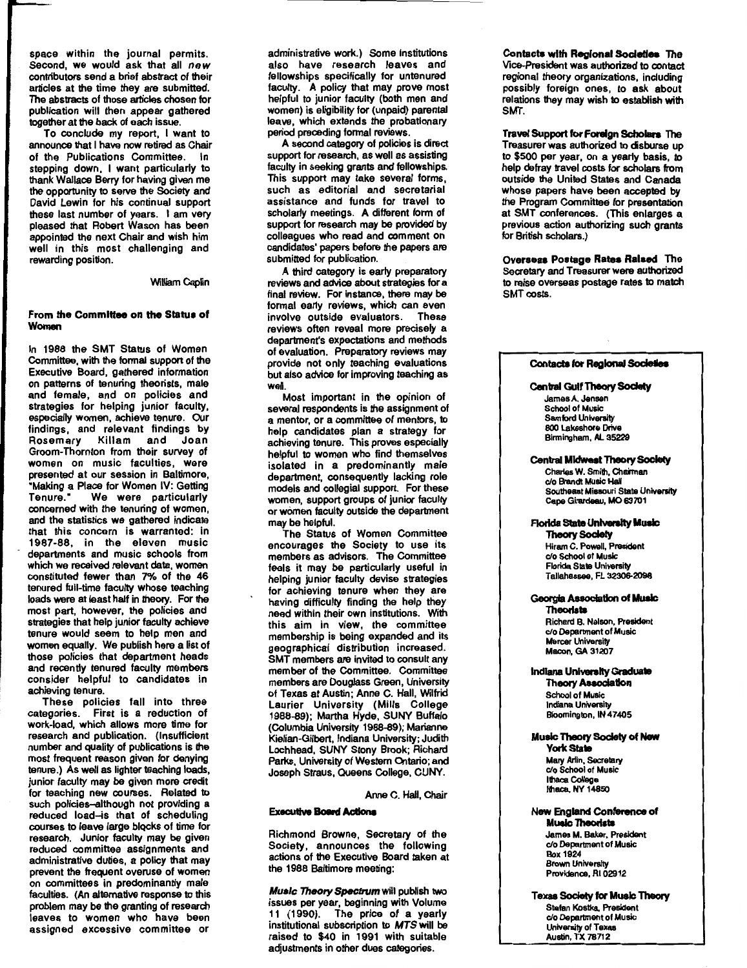space within the journal permits. Second, we would ask that all *new*  contributors send a brief abstract of their articles at the time they are submitted. The abstracts of those articles chosen for publication will then appear gathered together at the back of each issue.

To conclude my report, I want to announce that I have now retired as Chair of the Publications Committee. In stepping down, I want particularly to thank Wallace Berry for having given me the opportunity to serve the Society and David Lewin for his continual support these last number of years. I am very pleased that Robert Wason has been appointed the next Chair and wish him well in this most challenging and rewarding position.

## William Capfin

#### From the Committee on the Status of Women

In 1988 the SMT Status of Women Committee, with the formal support of the Executive Board, gathered information on patterns of tenuring theorists, male and female, and on policies and strategies for helping junior faculty, especially women, achieve tenure. Our findings, and relevant findings by Rosemary Killam and Joan Groom-Thornton from their survey of women on music faculties, were presented at our session in Baltimore, "Making a Place for Women IV: Getting Tenure." We were particularly concerned with the tenuring of women, and the statistics we gathered indicate that this concern is warranted: in 1987-88, in the eleven music departments and music schools from which we received relevant data, women constituted fewer than 7% of the 46 tenured full-time faculty whose teaching loads were at least half in theory. For the most part, however, the policies and strategies that help junior faculty achieve tenure would seem to help men and women equally. We publish here a list of those policies that department heads and recently tenured faculty members consider helpful to candidates in achieving tenure.

These policies fall into three categories. First is a reduction of work-load, which allows more time for research and publication. (Insufficient number and quality of publications is the most frequent reason given for denying tenure.) As well as lighter teaching loads, junior faculty may be given more credit for teaching new courses. Related to such policies-although not providing a reduced load-is that of scheduling courses to leave large biQCks of time for research. Junior faculty may be given reduced committee assignments and administrative duties, a policy that may prevent the frequent overuse of women on committees in predominantly male faculties. (An alternative response to this problem may be the granting of research leaves to women who have been assigned excessive committee or

administrative work.) Some institutions also have research leaves and fellowships specifically for untenured faculty. A policy that may prove most helpful to junior faculty (both men and women) is eligibility for (unpaid) parental leave, which extends the probationary period preceding formal reviews.

A second category of policies is direct support for research, as well as assisting faculty in seeking grants and fellowships. This support may take several forms, such as editorial and secretarial assistance and funds for travel to scholarly meetings. A different form of support for research may be provided by colleagues who read and comment on candidates' papers before the papers are submitted for publication.

A third category is early preparatory reviews and advice about strategies for a final review. For instance, there may be formal early reviews, which can even involve outside evaluators. These reviews often reveal more precisely a department's expectations and methods of evaluation. Preparatory reviews may provide not only teaching evaluations but also advice for improving teaching as well.

Most important in the opinion of several respondents is the assignment of a mentor, or a committee of mentors, to help candidates plan a strategy for achieving tenure. This proves especially helpful to women who find themselves isolated in a predominantly male department, consequently lacking role models and collegial support. For these women, support groups of junior faculty or women faculty outside the department may be helpful.

The Status of Women Committee encourages the Society to use its members as advisors. The Committee feels it may be particularly useful in helping junior faculty devise strategies for achieving tenure when they are having difficulty finding the help they need within their own institutions. With this aim in view, the committee membership is being expanded and its geographical distribution increased. SMT members are invited to consult any member of the Committee. Committee members are Douglass Green, University of Texas at Austin; Anne C. Hall, Wilfrid Laurier University (Mills College 1988-89); Martha Hyde, SUNY Buffalo (Columbia University 1988-89); Marianne Kielian-Gilbert, Indiana University; Judith Lochhead, SUNY Stony Brook; Richard Parks, University of Western Ontario; and Joseph Straus, Queens College, CUNY.

Anne C. Hall, Chair

#### Executive Board Actions

Richmond Browne, Secretary of the Society, announces the following actions of the Executive Board taken at the 1988 Baltimore meeting:

**Music Theory Spectrum will publish two** issues per year, beginning with Volume 11 (1990). The price of a yearly institutional subscription to MTS will be raised to \$40 in 1991 with suitable adjustments in other dues categories.

Contacts with Regional Societies The Vice-President was authorized to contact regional theory organizations, including possibly foreign ones, to ask about relations they may wish to establish with SMT.

Travel Support for Foreign Scholars The Treasurer was authorized to disburse up to \$500 per year, on a yearly basis, to help defray travel costs for scholars from outside the United States and Canada whose papers have been accepted by the Program Committee for presentation at SMT conferences. (This enlarges a previous action authorizing such grants for British scholars.)

Overseas Postage Rates Raised The Secretary and Treasurer were authorized to raise overseas postage rates to match SMT costs.

## **Contacts for Regional Societies**

## Central Gulf Theory Society

James A. Jensen School of Music Samford University 800 lakeshore Drive Birmingham, AL 35229

#### Central Midwest Theory Society

Charles W. Smilh, Chairman c/o Brandt Music Hall Soulheast Missouri State University Cape Girardeau, MO 63701

# Florida State University Music

Theory Society Hiram C. Powell, President c/o School of Music Florida State University Tallahassee, FL 32306-2098

#### Georgia Association of Music Theorists

Richard B. Nelson, President c/o Department of Music **Mercer University** Macon, GA 31207

# Indiana University Graduate

**Theory Association** School of Music Indiana Universit Bloomington, IN 47405

#### Music Theory Society of New York State

Mary Arlin, Secretary c/o School of Music llhaca College Ithaca, NY 14850

# New England Conference of Music 1heoriata

James M. Baker, President c/o Department of Music Box 1924 **Brown University** Providence, Rl 02912

Texas Society for Mualc Theory Stefan Kostka, President c/o Department of Music University of Texas Austin, TX 78712